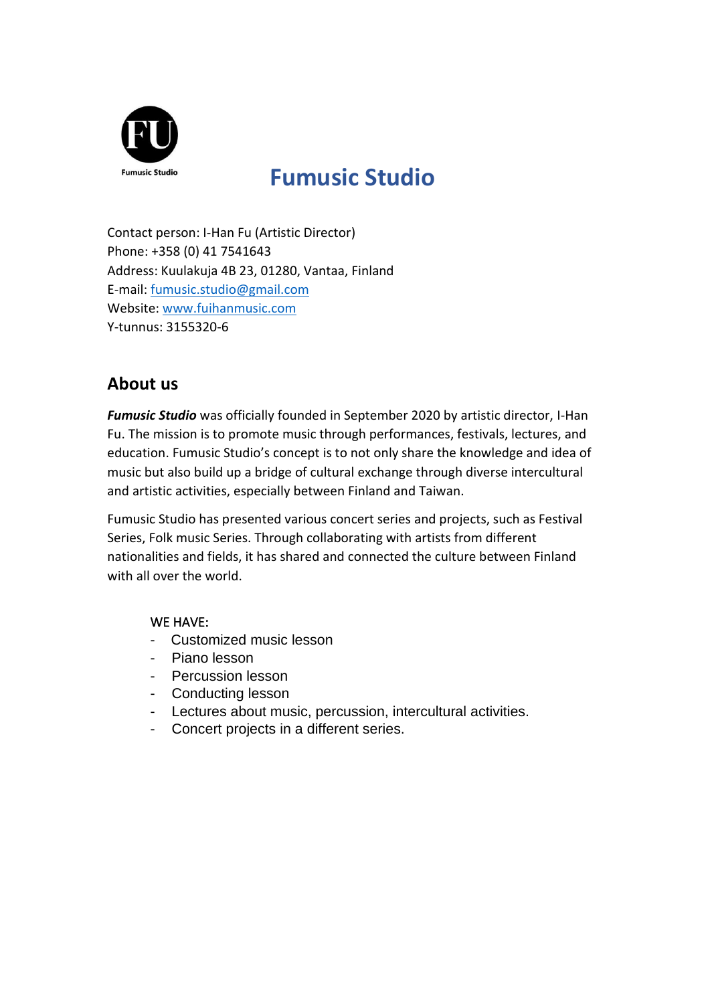

# **Fumusic Studio**

Contact person: I-Han Fu (Artistic Director) Phone: +358 (0) 41 7541643 Address: Kuulakuja 4B 23, 01280, Vantaa, Finland E-mail: [fumusic.studio@gmail.com](mailto:fumusic.studio@gmail.com) Website: [www.fuihanmusic.com](http://www.fuihanmusic.com/) Y-tunnus: 3155320-6

## **About us**

*Fumusic Studio* was officially founded in September 2020 by artistic director, I-Han Fu. The mission is to promote music through performances, festivals, lectures, and education. Fumusic Studio's concept is to not only share the knowledge and idea of music but also build up a bridge of cultural exchange through diverse intercultural and artistic activities, especially between Finland and Taiwan.

Fumusic Studio has presented various concert series and projects, such as Festival Series, Folk music Series. Through collaborating with artists from different nationalities and fields, it has shared and connected the culture between Finland with all over the world.

#### WE HAVE:

- Customized music lesson
- Piano lesson
- Percussion lesson
- Conducting lesson
- Lectures about music, percussion, intercultural activities.
- Concert projects in a different series.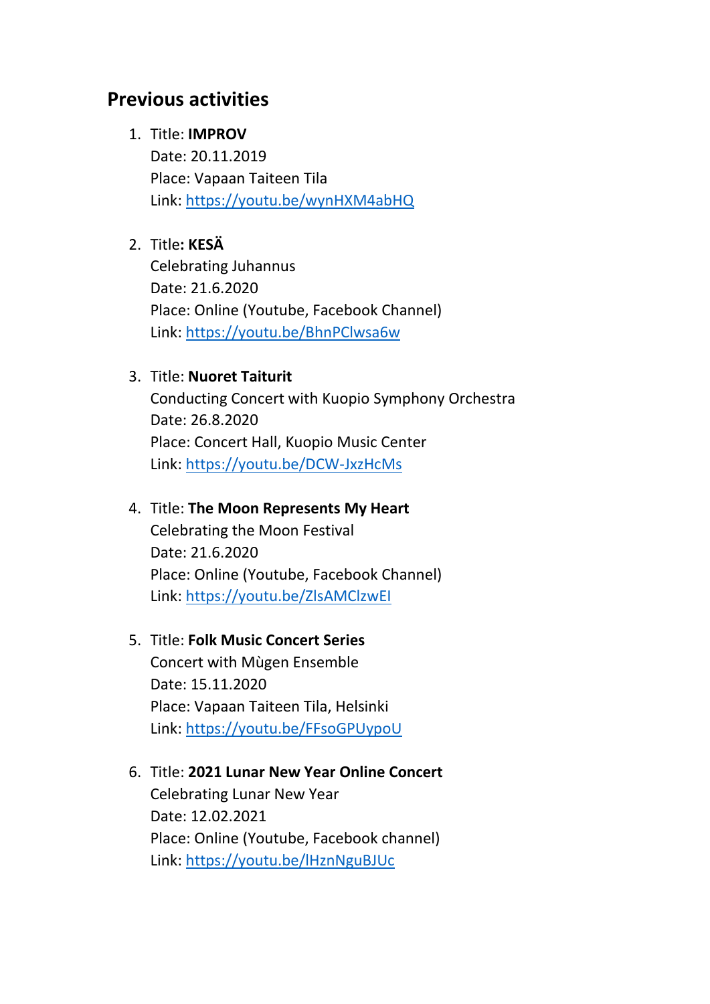# **Previous activities**

### 1. Title: **IMPROV**

Date: 20.11.2019 Place: Vapaan Taiteen Tila Link:<https://youtu.be/wynHXM4abHQ>

## 2. Title**: KESÄ**

Celebrating Juhannus Date: 21.6.2020 Place: Online (Youtube, Facebook Channel) Link:<https://youtu.be/BhnPClwsa6w>

### 3. Title: **Nuoret Taiturit**

Conducting Concert with Kuopio Symphony Orchestra Date: 26.8.2020 Place: Concert Hall, Kuopio Music Center Link:<https://youtu.be/DCW-JxzHcMs>

### 4. Title: **The Moon Represents My Heart**

Celebrating the Moon Festival Date: 21.6.2020 Place: Online (Youtube, Facebook Channel) Link:<https://youtu.be/ZlsAMClzwEI>

### 5. Title: **Folk Music Concert Series**

Concert with Mùgen Ensemble Date: 15.11.2020 Place: Vapaan Taiteen Tila, Helsinki Link:<https://youtu.be/FFsoGPUypoU>

6. Title: **2021 Lunar New Year Online Concert** Celebrating Lunar New Year Date: 12.02.2021 Place: Online (Youtube, Facebook channel) Link:<https://youtu.be/lHznNguBJUc>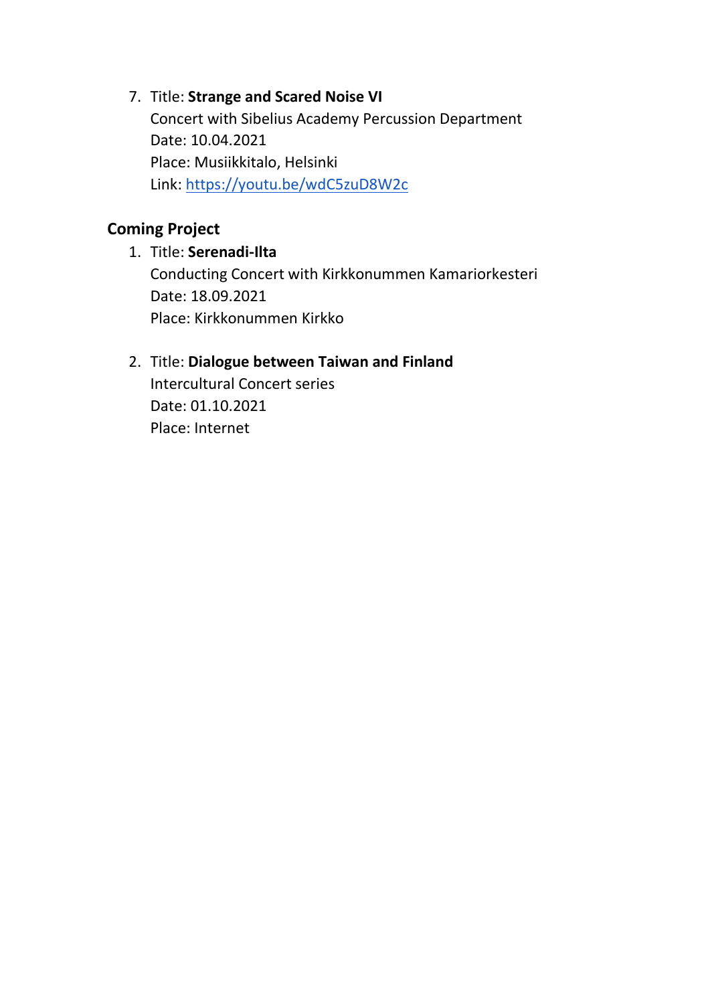# 7. Title: **Strange and Scared Noise VI** Concert with Sibelius Academy Percussion Department Date: 10.04.2021 Place: Musiikkitalo, Helsinki Link:<https://youtu.be/wdC5zuD8W2c>

# **Coming Project**

# 1. Title: **Serenadi-Ilta** Conducting Concert with Kirkkonummen Kamariorkesteri Date: 18.09.2021 Place: Kirkkonummen Kirkko

# 2. Title: **Dialogue between Taiwan and Finland**

Intercultural Concert series Date: 01.10.2021 Place: Internet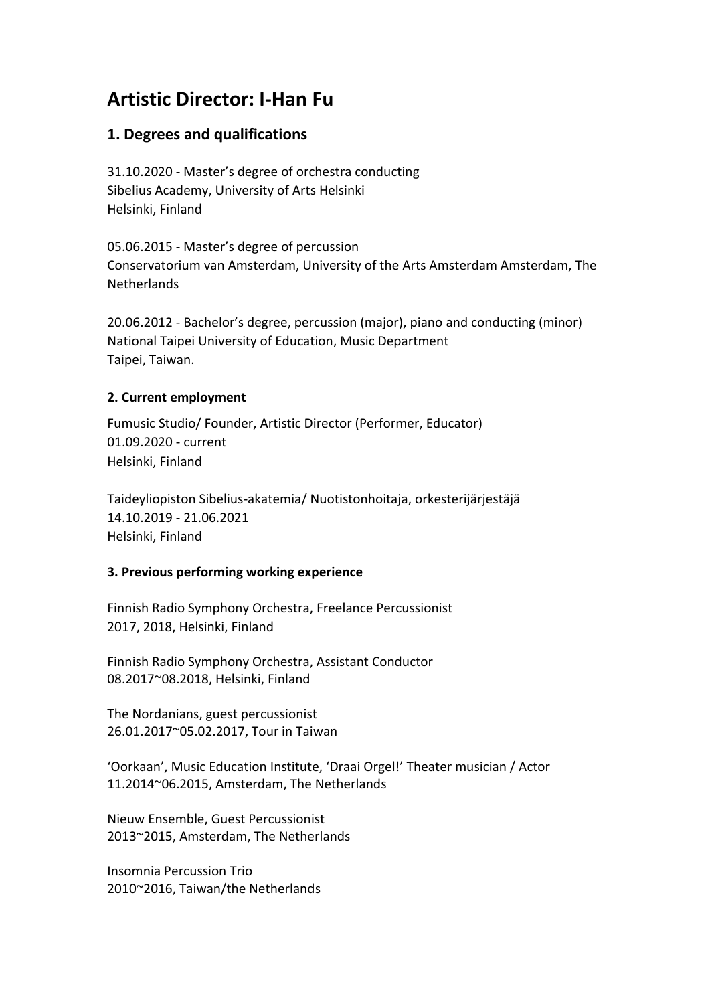# **Artistic Director: I-Han Fu**

#### **1. Degrees and qualifications**

31.10.2020 - Master's degree of orchestra conducting Sibelius Academy, University of Arts Helsinki Helsinki, Finland

05.06.2015 - Master's degree of percussion Conservatorium van Amsterdam, University of the Arts Amsterdam Amsterdam, The **Netherlands** 

20.06.2012 - Bachelor's degree, percussion (major), piano and conducting (minor) National Taipei University of Education, Music Department Taipei, Taiwan.

#### **2. Current employment**

Fumusic Studio/ Founder, Artistic Director (Performer, Educator) 01.09.2020 - current Helsinki, Finland

Taideyliopiston Sibelius-akatemia/ Nuotistonhoitaja, orkesterijärjestäjä 14.10.2019 - 21.06.2021 Helsinki, Finland

#### **3. Previous performing working experience**

Finnish Radio Symphony Orchestra, Freelance Percussionist 2017, 2018, Helsinki, Finland

Finnish Radio Symphony Orchestra, Assistant Conductor 08.2017~08.2018, Helsinki, Finland

The Nordanians, guest percussionist 26.01.2017~05.02.2017, Tour in Taiwan

'Oorkaan', Music Education Institute, 'Draai Orgel!' Theater musician / Actor 11.2014~06.2015, Amsterdam, The Netherlands

Nieuw Ensemble, Guest Percussionist 2013~2015, Amsterdam, The Netherlands

Insomnia Percussion Trio 2010~2016, Taiwan/the Netherlands